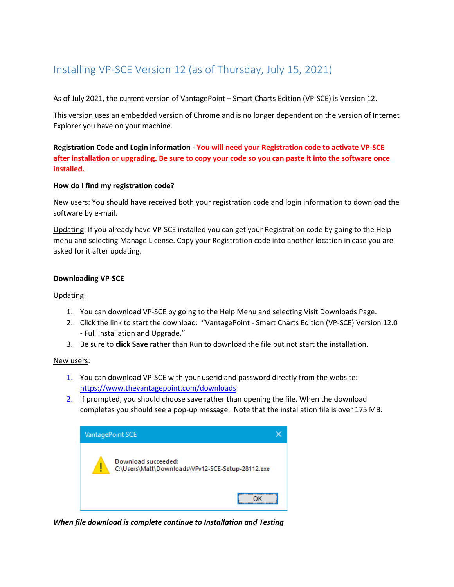# Installing VP-SCE Version 12 (as of Thursday, July 15, 2021)

As of July 2021, the current version of VantagePoint – Smart Charts Edition (VP-SCE) is Version 12.

This version uses an embedded version of Chrome and is no longer dependent on the version of Internet Explorer you have on your machine.

**Registration Code and Login information - You will need your Registration code to activate VP-SCE after installation or upgrading. Be sure to copy your code so you can paste it into the software once installed.**

# **How do I find my registration code?**

New users: You should have received both your registration code and login information to download the software by e-mail.

Updating: If you already have VP-SCE installed you can get your Registration code by going to the Help menu and selecting Manage License. Copy your Registration code into another location in case you are asked for it after updating.

# **Downloading VP-SCE**

# Updating:

- 1. You can download VP-SCE by going to the Help Menu and selecting Visit Downloads Page.
- 2. Click the link to start the download: "VantagePoint Smart Charts Edition (VP-SCE) Version 12.0 - Full Installation and Upgrade."
- 3. Be sure to **click Save** rather than Run to download the file but not start the installation.

# New users:

- 1. You can download VP-SCE with your userid and password directly from the website: <https://www.thevantagepoint.com/downloads>
- 2. If prompted, you should choose save rather than opening the file. When the download completes you should see a pop-up message. Note that the installation file is over 175 MB.



*When file download is complete continue to Installation and Testing*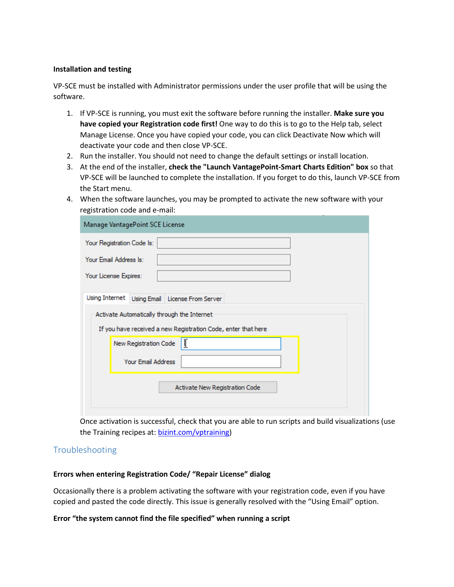#### **Installation and testing**

VP-SCE must be installed with Administrator permissions under the user profile that will be using the software.

- 1. If VP-SCE is running, you must exit the software before running the installer. **Make sure you have copied your Registration code first!** One way to do this is to go to the Help tab, select Manage License. Once you have copied your code, you can click Deactivate Now which will deactivate your code and then close VP-SCE.
- 2. Run the installer. You should not need to change the default settings or install location.
- 3. At the end of the installer, **check the "Launch VantagePoint-Smart Charts Edition" box** so that VP-SCE will be launched to complete the installation. If you forget to do this, launch VP-SCE from the Start menu.
- 4. When the software launches, you may be prompted to activate the new software with your registration code and e-mail:

| Manage VantagePoint SCE License                                                                   |
|---------------------------------------------------------------------------------------------------|
| Your Registration Code Is:                                                                        |
| Your Email Address Is:                                                                            |
| Your License Expires:                                                                             |
| Using Internet   Using Email   License From Server<br>Activate Automatically through the Internet |
| If you have received a new Registration Code, enter that here                                     |
| New Registration Code                                                                             |
| <b>Your Email Address</b>                                                                         |
| Activate New Registration Code                                                                    |

Once activation is successful, check that you are able to run scripts and build visualizations (use the Training recipes at: [bizint.com/vptraining\)](http://www.bizint.com/product/vpsce/vpsce_training.php)

# Troubleshooting

# **Errors when entering Registration Code/ "Repair License" dialog**

Occasionally there is a problem activating the software with your registration code, even if you have copied and pasted the code directly. This issue is generally resolved with the "Using Email" option.

# **Error "the system cannot find the file specified" when running a script**